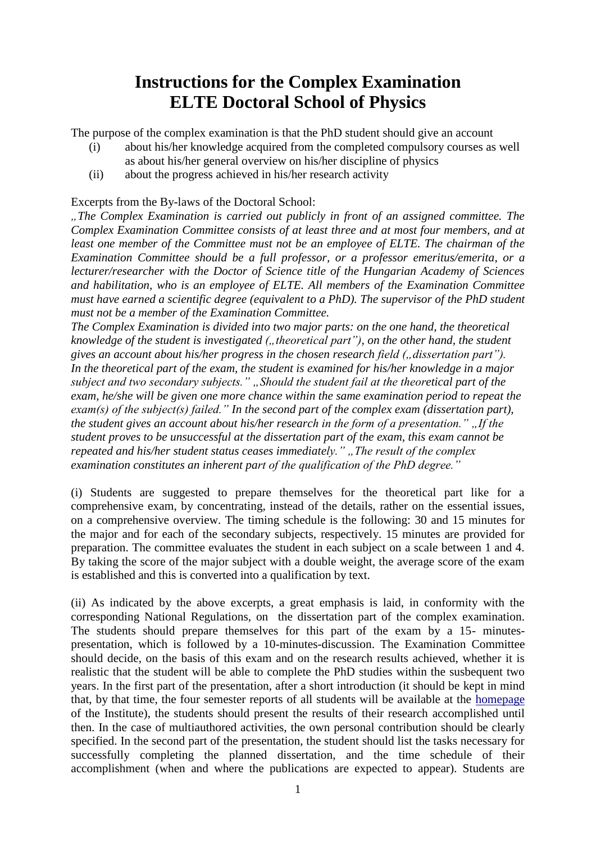## **Instructions for the Complex Examination ELTE Doctoral School of Physics**

The purpose of the complex examination is that the PhD student should give an account

- (i) about his/her knowledge acquired from the completed compulsory courses as well as about his/her general overview on his/her discipline of physics
- (ii) about the progress achieved in his/her research activity

Excerpts from the By-laws of the Doctoral School:

*"The Complex Examination is carried out publicly in front of an assigned committee. The Complex Examination Committee consists of at least three and at most four members, and at least one member of the Committee must not be an employee of ELTE. The chairman of the Examination Committee should be a full professor, or a professor emeritus/emerita, or a lecturer/researcher with the Doctor of Science title of the Hungarian Academy of Sciences and habilitation, who is an employee of ELTE. All members of the Examination Committee must have earned a scientific degree (equivalent to a PhD). The supervisor of the PhD student must not be a member of the Examination Committee.*

*The Complex Examination is divided into two major parts: on the one hand, the theoretical knowledge of the student is investigated (,, theoretical part"), on the other hand, the student* gives an account about his/her progress in the chosen research field (*dissertation part''*). *In the theoretical part of the exam, the student is examined for his/her knowledge in a major subject and two secondary subjects." "Should the student fail at the theoretical part of the exam, he/she will be given one more chance within the same examination period to repeat the exam(s) of the subject(s) failed." In the second part of the complex exam (dissertation part), the student gives an account about his/her research in the form of a presentation." "If the student proves to be unsuccessful at the dissertation part of the exam, this exam cannot be repeated and his/her student status ceases immediately."* "*The result of the complex examination constitutes an inherent part of the qualification of the PhD degree."*

(i) Students are suggested to prepare themselves for the theoretical part like for a comprehensive exam, by concentrating, instead of the details, rather on the essential issues, on a comprehensive overview. The timing schedule is the following: 30 and 15 minutes for the major and for each of the secondary subjects, respectively. 15 minutes are provided for preparation. The committee evaluates the student in each subject on a scale between 1 and 4. By taking the score of the major subject with a double weight, the average score of the exam is established and this is converted into a qualification by text.

(ii) As indicated by the above excerpts, a great emphasis is laid, in conformity with the corresponding National Regulations, on the dissertation part of the complex examination. The students should prepare themselves for this part of the exam by a 15- minutespresentation, which is followed by a 10-minutes-discussion. The Examination Committee should decide, on the basis of this exam and on the research results achieved, whether it is realistic that the student will be able to complete the PhD studies within the susbequent two years. In the first part of the presentation, after a short introduction (it should be kept in mind that, by that time, the four semester reports of all students will be available at the [homepage](https://physics.elte.hu/content/doktori-beszamolok-semester-reports.t.2333?m=1320) of the Institute), the students should present the results of their research accomplished until then. In the case of multiauthored activities, the own personal contribution should be clearly specified. In the second part of the presentation, the student should list the tasks necessary for successfully completing the planned dissertation, and the time schedule of their accomplishment (when and where the publications are expected to appear). Students are